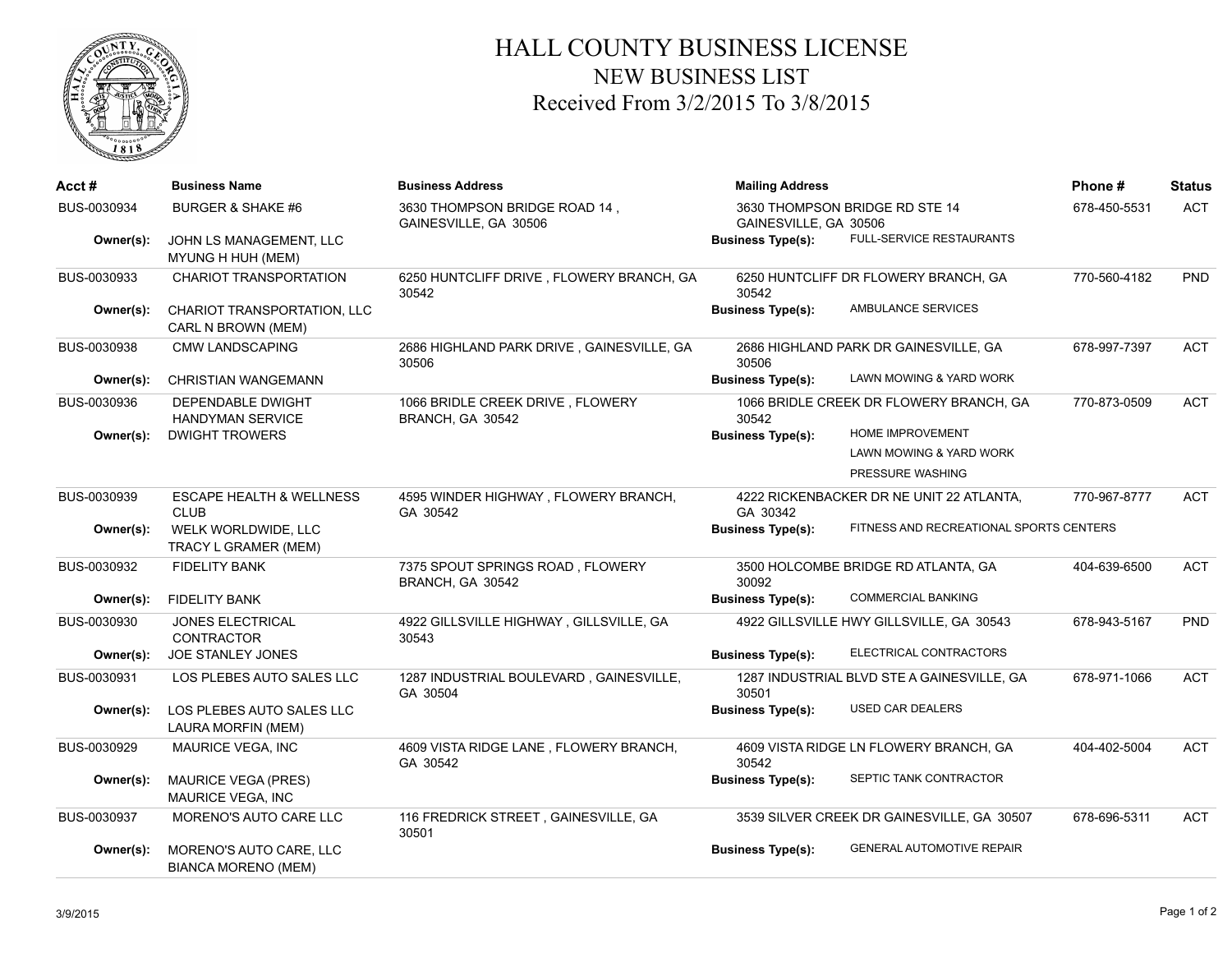

## HALL COUNTY BUSINESS LICENSE NEW BUSINESS LIST Received From 3/2/2015 To 3/8/2015

| Acct#       | <b>Business Name</b>                                  | <b>Business Address</b>                                | <b>Mailing Address</b>                                  |                                            | Phone#       | <b>Status</b> |
|-------------|-------------------------------------------------------|--------------------------------------------------------|---------------------------------------------------------|--------------------------------------------|--------------|---------------|
| BUS-0030934 | <b>BURGER &amp; SHAKE #6</b>                          | 3630 THOMPSON BRIDGE ROAD 14,<br>GAINESVILLE, GA 30506 | 3630 THOMPSON BRIDGE RD STE 14<br>GAINESVILLE, GA 30506 |                                            | 678-450-5531 | <b>ACT</b>    |
| Owner(s):   | JOHN LS MANAGEMENT, LLC<br>MYUNG H HUH (MEM)          |                                                        | <b>Business Type(s):</b>                                | FULL-SERVICE RESTAURANTS                   |              |               |
| BUS-0030933 | <b>CHARIOT TRANSPORTATION</b>                         | 6250 HUNTCLIFF DRIVE, FLOWERY BRANCH, GA<br>30542      | 30542                                                   | 6250 HUNTCLIFF DR FLOWERY BRANCH, GA       | 770-560-4182 | <b>PND</b>    |
| Owner(s):   | CHARIOT TRANSPORTATION, LLC<br>CARL N BROWN (MEM)     |                                                        | <b>Business Type(s):</b>                                | AMBULANCE SERVICES                         |              |               |
| BUS-0030938 | <b>CMW LANDSCAPING</b>                                | 2686 HIGHLAND PARK DRIVE, GAINESVILLE, GA<br>30506     | 30506                                                   | 2686 HIGHLAND PARK DR GAINESVILLE, GA      | 678-997-7397 | <b>ACT</b>    |
| Owner(s):   | <b>CHRISTIAN WANGEMANN</b>                            |                                                        | <b>Business Type(s):</b>                                | LAWN MOWING & YARD WORK                    |              |               |
| BUS-0030936 | DEPENDABLE DWIGHT<br><b>HANDYMAN SERVICE</b>          | 1066 BRIDLE CREEK DRIVE, FLOWERY<br>BRANCH, GA 30542   | 30542                                                   | 1066 BRIDLE CREEK DR FLOWERY BRANCH, GA    | 770-873-0509 | <b>ACT</b>    |
| Owner(s):   | <b>DWIGHT TROWERS</b>                                 |                                                        | <b>Business Type(s):</b>                                | HOME IMPROVEMENT                           |              |               |
|             |                                                       |                                                        |                                                         | LAWN MOWING & YARD WORK                    |              |               |
|             |                                                       |                                                        |                                                         | PRESSURE WASHING                           |              |               |
| BUS-0030939 | <b>ESCAPE HEALTH &amp; WELLNESS</b><br><b>CLUB</b>    | 4595 WINDER HIGHWAY, FLOWERY BRANCH,<br>GA 30542       | GA 30342                                                | 4222 RICKENBACKER DR NE UNIT 22 ATLANTA,   | 770-967-8777 | ACT           |
| Owner(s):   | WELK WORLDWIDE, LLC<br>TRACY L GRAMER (MEM)           |                                                        | <b>Business Type(s):</b>                                | FITNESS AND RECREATIONAL SPORTS CENTERS    |              |               |
| BUS-0030932 | <b>FIDELITY BANK</b>                                  | 7375 SPOUT SPRINGS ROAD, FLOWERY<br>BRANCH, GA 30542   | 30092                                                   | 3500 HOLCOMBE BRIDGE RD ATLANTA, GA        | 404-639-6500 | <b>ACT</b>    |
| Owner(s):   | <b>FIDELITY BANK</b>                                  |                                                        | <b>Business Type(s):</b>                                | <b>COMMERCIAL BANKING</b>                  |              |               |
| BUS-0030930 | JONES ELECTRICAL<br>CONTRACTOR                        | 4922 GILLSVILLE HIGHWAY, GILLSVILLE, GA<br>30543       |                                                         | 4922 GILLSVILLE HWY GILLSVILLE, GA 30543   | 678-943-5167 | PND           |
| Owner(s):   | JOE STANLEY JONES                                     |                                                        | <b>Business Type(s):</b>                                | ELECTRICAL CONTRACTORS                     |              |               |
| BUS-0030931 | LOS PLEBES AUTO SALES LLC                             | 1287 INDUSTRIAL BOULEVARD, GAINESVILLE,<br>GA 30504    | 30501                                                   | 1287 INDUSTRIAL BLVD STE A GAINESVILLE, GA | 678-971-1066 | <b>ACT</b>    |
| Owner(s):   | LOS PLEBES AUTO SALES LLC<br>LAURA MORFIN (MEM)       |                                                        | <b>Business Type(s):</b>                                | <b>USED CAR DEALERS</b>                    |              |               |
| BUS-0030929 | MAURICE VEGA, INC                                     | 4609 VISTA RIDGE LANE, FLOWERY BRANCH,<br>GA 30542     | 30542                                                   | 4609 VISTA RIDGE LN FLOWERY BRANCH, GA     | 404-402-5004 | <b>ACT</b>    |
| Owner(s):   | <b>MAURICE VEGA (PRES)</b><br>MAURICE VEGA, INC       |                                                        | <b>Business Type(s):</b>                                | SEPTIC TANK CONTRACTOR                     |              |               |
| BUS-0030937 | MORENO'S AUTO CARE LLC                                | 116 FREDRICK STREET, GAINESVILLE, GA<br>30501          |                                                         | 3539 SILVER CREEK DR GAINESVILLE, GA 30507 | 678-696-5311 | <b>ACT</b>    |
| Owner(s):   | MORENO'S AUTO CARE, LLC<br><b>BIANCA MORENO (MEM)</b> |                                                        | <b>Business Type(s):</b>                                | <b>GENERAL AUTOMOTIVE REPAIR</b>           |              |               |